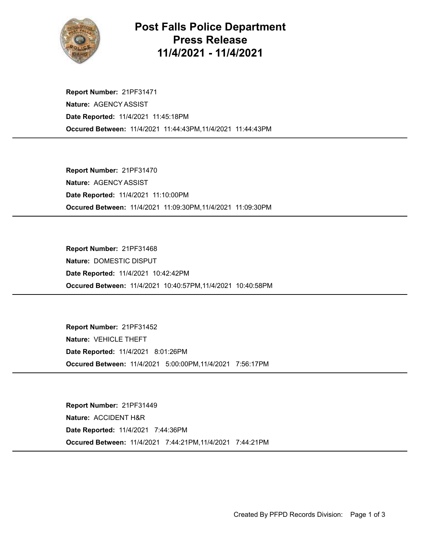

## Post Falls Police Department Press Release 11/4/2021 - 11/4/2021

Occured Between: 11/4/2021 11:44:43PM,11/4/2021 11:44:43PM Report Number: 21PF31471 Nature: AGENCY ASSIST Date Reported: 11/4/2021 11:45:18PM

Occured Between: 11/4/2021 11:09:30PM,11/4/2021 11:09:30PM Report Number: 21PF31470 Nature: AGENCY ASSIST Date Reported: 11/4/2021 11:10:00PM

Occured Between: 11/4/2021 10:40:57PM,11/4/2021 10:40:58PM Report Number: 21PF31468 Nature: DOMESTIC DISPUT Date Reported: 11/4/2021 10:42:42PM

Occured Between: 11/4/2021 5:00:00PM,11/4/2021 7:56:17PM Report Number: 21PF31452 Nature: VEHICLE THEFT Date Reported: 11/4/2021 8:01:26PM

Occured Between: 11/4/2021 7:44:21PM,11/4/2021 7:44:21PM Report Number: 21PF31449 Nature: ACCIDENT H&R Date Reported: 11/4/2021 7:44:36PM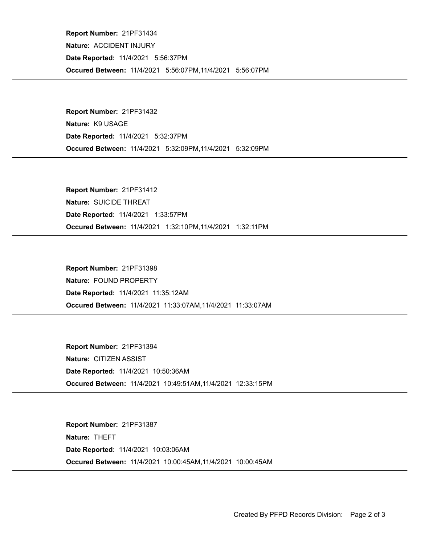Occured Between: 11/4/2021 5:56:07PM,11/4/2021 5:56:07PM Report Number: 21PF31434 Nature: ACCIDENT INJURY Date Reported: 11/4/2021 5:56:37PM

Occured Between: 11/4/2021 5:32:09PM,11/4/2021 5:32:09PM Report Number: 21PF31432 Nature: K9 USAGE Date Reported: 11/4/2021 5:32:37PM

Occured Between: 11/4/2021 1:32:10PM,11/4/2021 1:32:11PM Report Number: 21PF31412 Nature: SUICIDE THREAT Date Reported: 11/4/2021 1:33:57PM

Occured Between: 11/4/2021 11:33:07AM,11/4/2021 11:33:07AM Report Number: 21PF31398 Nature: FOUND PROPERTY Date Reported: 11/4/2021 11:35:12AM

Occured Between: 11/4/2021 10:49:51AM,11/4/2021 12:33:15PM Report Number: 21PF31394 Nature: CITIZEN ASSIST Date Reported: 11/4/2021 10:50:36AM

Occured Between: 11/4/2021 10:00:45AM,11/4/2021 10:00:45AM Report Number: 21PF31387 Nature: THEFT Date Reported: 11/4/2021 10:03:06AM